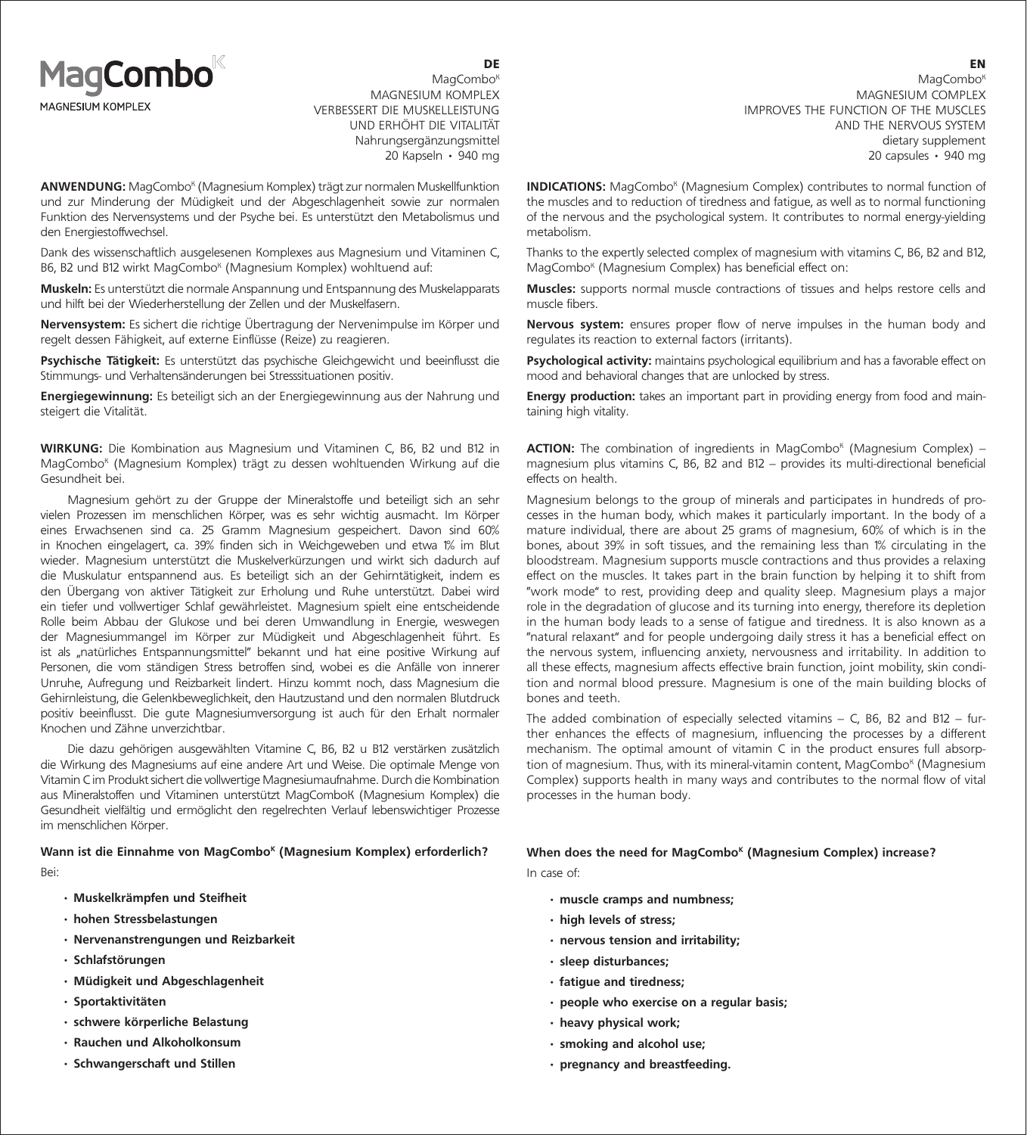

MagCombo<sup>K</sup> MAGNESIUM KOMPLEX VERBESSERT DIE MUSKELLEISTUNG UND ERHÖHT DIE VITALITÄT Nahrungsergänzungsmittel 20 Kapseln • 940 mg

**ANWENDUNG:** MagCombo<sup>k</sup> (Magnesium Komplex) trägt zur normalen Muskellfunktion und zur Minderung der Müdigkeit und der Abgeschlagenheit sowie zur normalen Funktion des Nervensystems und der Psyche bei. Es unterstützt den Metabolismus und den Energiestoffwechsel.

Dank des wissenschaftlich ausgelesenen Komplexes aus Magnesium und Vitaminen C, B6, B2 und B12 wirkt MagCombo<sup>k</sup> (Magnesium Komplex) wohltuend auf:

**Muskeln:** Es unterstützt die normale Anspannung und Entspannung des Muskelapparats und hilft bei der Wiederherstellung der Zellen und der Muskelfasern.

**Nervensystem:** Es sichert die richtige Übertragung der Nervenimpulse im Körper und regelt dessen Fähigkeit, auf externe Einflüsse (Reize) zu reagieren.

**Psychische Tätigkeit:** Es unterstützt das psychische Gleichgewicht und beeinflusst die Stimmungs- und Verhaltensänderungen bei Stresssituationen positiv.

**Energiegewinnung:** Es beteiligt sich an der Energiegewinnung aus der Nahrung und steigert die Vitalität.

**WIRKUNG:** Die Kombination aus Magnesium und Vitaminen С, В6, В2 und B12 in MagCombo<sup>K</sup> (Magnesium Komplex) trägt zu dessen wohltuenden Wirkung auf die Gesundheit bei.

Magnesium gehört zu der Gruppe der Mineralstoffe und beteiligt sich an sehr vielen Prozessen im menschlichen Körper, was es sehr wichtig ausmacht. Im Körper eines Erwachsenen sind ca. 25 Gramm Magnesium gespeichert. Davon sind 60% in Knochen eingelagert, ca. 39% finden sich in Weichgeweben und etwa 1% im Blut wieder. Magnesium unterstützt die Muskelverkürzungen und wirkt sich dadurch auf die Muskulatur entspannend aus. Es beteiligt sich an der Gehirntätigkeit, indem es den Übergang von aktiver Tätigkeit zur Erholung und Ruhe unterstützt. Dabei wird ein tiefer und vollwertiger Schlaf gewährleistet. Magnesium spielt eine entscheidende Rolle beim Abbau der Glukose und bei deren Umwandlung in Energie, weswegen der Magnesiummangel im Körper zur Müdigkeit und Abgeschlagenheit führt. Es ist als "natürliches Entspannungsmittel" bekannt und hat eine positive Wirkung auf Personen, die vom ständigen Stress betroffen sind, wobei es die Anfälle von innerer Unruhe, Aufregung und Reizbarkeit lindert. Hinzu kommt noch, dass Magnesium die Gehirnleistung, die Gelenkbeweglichkeit, den Hautzustand und den normalen Blutdruck positiv beeinflusst. Die gute Magnesiumversorgung ist auch für den Erhalt normaler Knochen und Zähne unverzichtbar.

Die dazu gehörigen ausgewählten Vitamine С, В6, В2 и B12 verstärken zusätzlich die Wirkung des Magnesiums auf eine andere Art und Weise. Die optimale Menge von Vitamin C im Produkt sichert die vollwertige Magnesiumaufnahme. Durch die Kombination aus Mineralstoffen und Vitaminen unterstützt MagComboК (Magnesium Komplex) die Gesundheit vielfältig und ermöglicht den regelrechten Verlauf lebenswichtiger Prozesse im menschlichen Körper.

Wann ist die Einnahme von MagCombo<sup>k</sup> (Magnesium Komplex) erforderlich? Bei:

- **Muskelkrämpfen und Steifheit**
- • **hohen Stressbelastungen**
- • **Nervenanstrengungen und Reizbarkeit**
- • **Schlafstörungen**
- • **Müdigkeit und Abgeschlagenheit**
- • **Sportaktivitäten**
- • **schwere körperliche Belastung**
- • **Rauchen und Alkoholkonsum**
- • **Schwangerschaft und Stillen**

EN MagCombo<sup>k</sup> MAGNESIUM COMPLEX IMPROVES THE FUNCTION OF THE MUSCLES AND THE NERVOUS SYSTEM dietary supplement 20 capsules • 940 mg

INDICATIONS: MagCombo<sup>k</sup> (Magnesium Complex) contributes to normal function of the muscles and to reduction of tiredness and fatigue, as well as to normal functioning of the nervous and the psychological system. It contributes to normal energy-yielding metabolism.

Thanks to the expertly selected complex of magnesium with vitamins C, B6, B2 and B12, MagCombo<sup>k</sup> (Magnesium Complex) has beneficial effect on:

**Muscles:** supports normal muscle contractions of tissues and helps restore cells and muscle fibers.

**Nervous system:** ensures proper flow of nerve impulses in the human body and regulates its reaction to external factors (irritants).

**Psychological activity:** maintains psychological equilibrium and has a favorable effect on mood and behavioral changes that are unlocked by stress.

**Energy production:** takes an important part in providing energy from food and maintaining high vitality.

**ACTION:** The combination of ingredients in MagCombo<sup>K</sup> (Magnesium Complex) magnesium plus vitamins C, B6, B2 and B12 – provides its multi-directional beneficial effects on health.

Magnesium belongs to the group of minerals and participates in hundreds of processes in the human body, which makes it particularly important. In the body of a mature individual, there are about 25 grams of magnesium, 60% of which is in the bones, about 39% in soft tissues, and the remaining less than 1% circulating in the bloodstream. Magnesium supports muscle contractions and thus provides a relaxing effect on the muscles. It takes part in the brain function by helping it to shift from "work mode" to rest, providing deep and quality sleep. Magnesium plays a major role in the degradation of glucose and its turning into energy, therefore its depletion in the human body leads to a sense of fatigue and tiredness. It is also known as a "natural relaxant" and for people undergoing daily stress it has a beneficial effect on the nervous system, influencing anxiety, nervousness and irritability. In addition to all these effects, magnesium affects effective brain function, joint mobility, skin condition and normal blood pressure. Magnesium is one of the main building blocks of bones and teeth.

The added combination of especially selected vitamins – C, B6, B2 and B12 – further enhances the effects of magnesium, influencing the processes by a different mechanism. The optimal amount of vitamin C in the product ensures full absorption of magnesium. Thus, with its mineral-vitamin content, MagCombo<sup>K</sup> (Magnesium Complex) supports health in many ways and contributes to the normal flow of vital processes in the human body.

#### When does the need for MagCombo<sup>k</sup> (Magnesium Complex) increase?

In case of:

- **muscle cramps and numbness;**
- • **high levels of stress;**
- • **nervous tension and irritability;**
- • **sleep disturbances;**
- • **fatigue and tiredness;**
- • **people who exercise on a regular basis;**
- • **heavy physical work;**
- • **smoking and alcohol use;**
- • **pregnancy and breastfeeding.**

DE